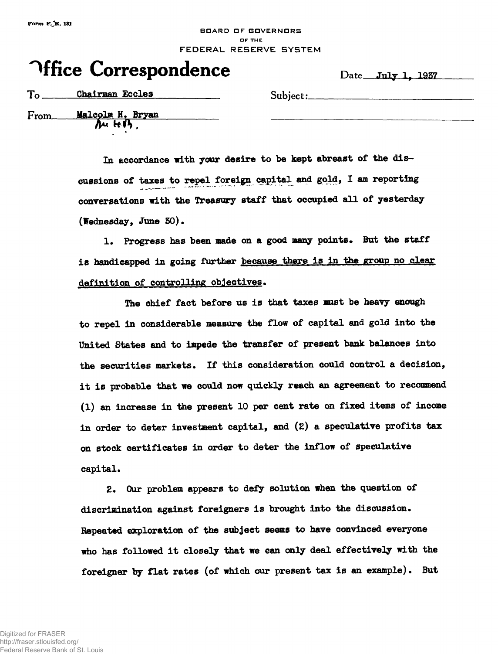## **BDARD DF GOVERNORS OF THE** FEDERAL RESERVE SYSTEM

## **Office Correspondence** Date July 1, 1937

To Chairman Eccles Subject:

**From Malcolm H. Bryan** 

**In accordance with your desire to be kept abreast of the discussions of taxes to repel foreign capital and gold, I am reporting conversations with the Treasury staff that occupied all of yesterday (Wednesday, June 50).**

1. Progress has been made on a good many points. But the staff **is handicapped in going further because there is in the group no clear definition of controlling objectives»**

**The chief fact before us is that taxes mist be heayy enough to repel in considerable measure the flow of capital and gold into the United States and to impede the transfer of present bank balances into** the securities markets. If this consideration could control a decision, **it is probable that we could now quickly reach an agreement to recommend (1) an increase in the present 10 per cent rate on fixed items of income in order to deter investment capital, and (2) a speculative profits tax on stock certificates in order to deter the inflow of speculative capital.**

**Z\* Our problem appears to defy solution when the question of discrimination against foreigners is brought into the discussion. Repeated exploration of the subject seems to have convinced everyone who has followed it closely that we can only deal effectively with the foreigner by flat rates (of which our present tax is an example). But**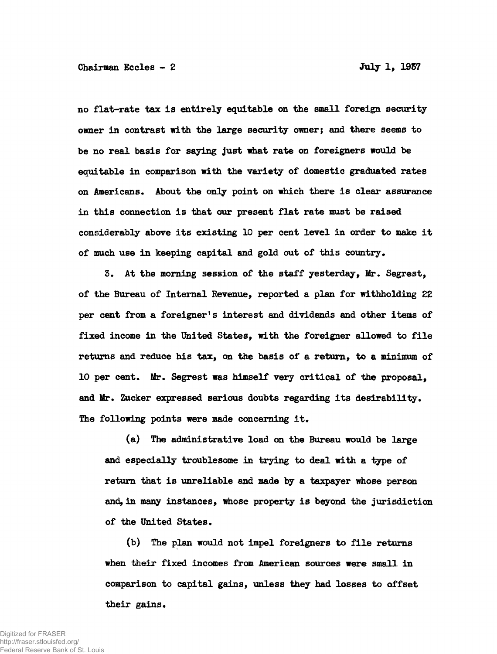**no flat-rate tax is entirely equitable on the small foreign security owner in contrast with the large security owner; and there seems to be no real basis for saying just what rate on foreigners would be equitable in comparison with the variety of domestic graduated rates on Americans. About the only point on which there is clear assurance in this connection is that our present flat rate must be raised considerably above its existing 10 per cent level in order to make it of much use in keeping capital and gold out of this country\***

**3. At the morning session of the staff yesterday, Mr\* Segrest, of the Bureau of Internal Revenue, reported a plan for withholding 22 per cent from a foreigner<sup>f</sup>s interest and dividends and other items of fixed income in the United States, with the foreigner allowed to file returns and reduce his tax, on the basis of a return, to a minimum of 10 per cent. Mr. Segrest was himself very critical of the proposal, and Mr. Zucker expressed serious doubts regarding its desirability. The following points were made concerning it.**

**(a) The administrative load on the Bureau would be large and especially troublesome in trying to deal with a type of return that is unreliable and made by a taxpayer whose person and, in many instances, whose property is beyond the jurisdiction of the United States.**

**(b) The plan would not impel foreigners to file returns when their fixed incomes from American sources were small in comparison to capital gains, unless they had losses to offset their gains.**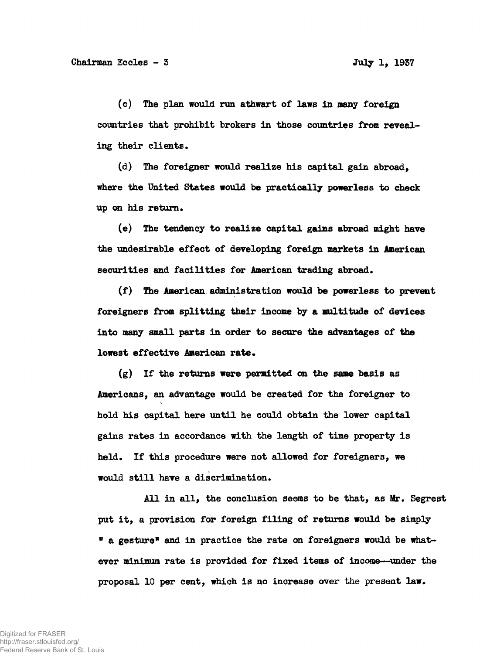**(c) The plan would run athwart of laws in many foreign countries that prohibit brokers in those countries from reveal**ing their clients.

**(d) The foreigner would realize his capital gain abroad, where the United States would be practically powerless to check up on his return\***

**(e) The tendency to realize capital gains abroad might have the undesirable effect of developing foreign markets in American** securities and facilities for American trading abroad.

**(f) The American administration would be powerless to prevent foreigners from splitting their income by a multitude of devices into many small parts in order to secure the advantages of the lowest effective American rate.** 

**(g) If the returns were permitted on the same basis as Americans, an advantage would be created for the foreigner to hold his capital here until he could obtain the lower capital gains rates in accordance with the length of time property is held\* If this procedure were not allowed for foreigners, we would still have a discrimination.**

**All in all, the conclusion seems to be that, as Mr. Segrest put it, a provision for foreign filing of returns would be simply <sup>11</sup> a gesture\* and in practice the rate on foreigners would be whatever minimum rate is provided for fixed items of income—under the proposal 10 per cent, which is no increase over the present law\***